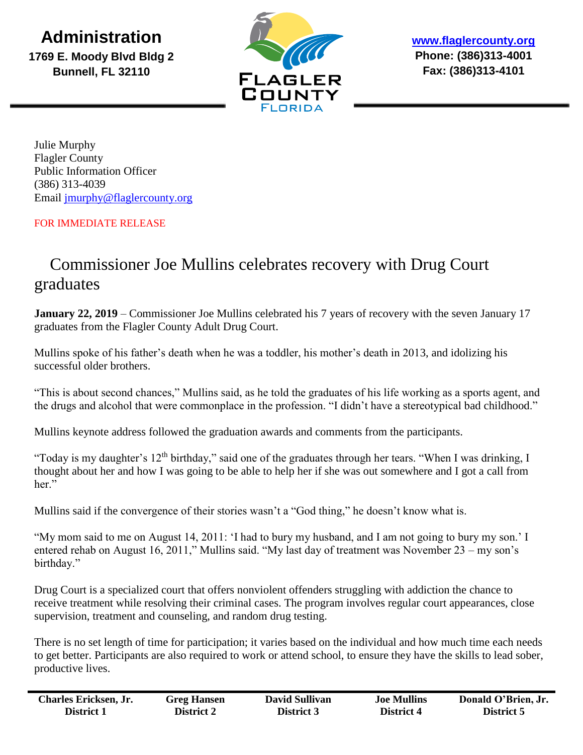**Administration**

**1769 E. Moody Blvd Bldg 2 Bunnell, FL 32110**



**[www.flaglercounty.org](http://www.flaglercounty.org/) Phone: (386)313-4001 Fax: (386)313-4101**

Julie Murphy Flagler County Public Information Officer (386) 313-4039 Email [jmurphy@flaglercounty.org](mailto:jmurphy@flaglercounty.org)

## FOR IMMEDIATE RELEASE

## Commissioner Joe Mullins celebrates recovery with Drug Court graduates

**January 22, 2019** – Commissioner Joe Mullins celebrated his 7 years of recovery with the seven January 17 graduates from the Flagler County Adult Drug Court.

Mullins spoke of his father's death when he was a toddler, his mother's death in 2013, and idolizing his successful older brothers.

"This is about second chances," Mullins said, as he told the graduates of his life working as a sports agent, and the drugs and alcohol that were commonplace in the profession. "I didn't have a stereotypical bad childhood."

Mullins keynote address followed the graduation awards and comments from the participants.

"Today is my daughter's 12<sup>th</sup> birthday," said one of the graduates through her tears. "When I was drinking, I thought about her and how I was going to be able to help her if she was out somewhere and I got a call from her."

Mullins said if the convergence of their stories wasn't a "God thing," he doesn't know what is.

"My mom said to me on August 14, 2011: 'I had to bury my husband, and I am not going to bury my son.' I entered rehab on August 16, 2011," Mullins said. "My last day of treatment was November 23 – my son's birthday."

Drug Court is a specialized court that offers nonviolent offenders struggling with addiction the chance to receive treatment while resolving their criminal cases. The program involves regular court appearances, close supervision, treatment and counseling, and random drug testing.

There is no set length of time for participation; it varies based on the individual and how much time each needs to get better. Participants are also required to work or attend school, to ensure they have the skills to lead sober, productive lives.

| <b>Charles Ericksen, Jr.</b> | <b>Greg Hansen</b> | <b>David Sullivan</b> | <b>Joe Mullins</b> | Donald O'Brien, Jr. |
|------------------------------|--------------------|-----------------------|--------------------|---------------------|
| District 1                   | <b>District 2</b>  | District 3            | District 4         | District 5          |